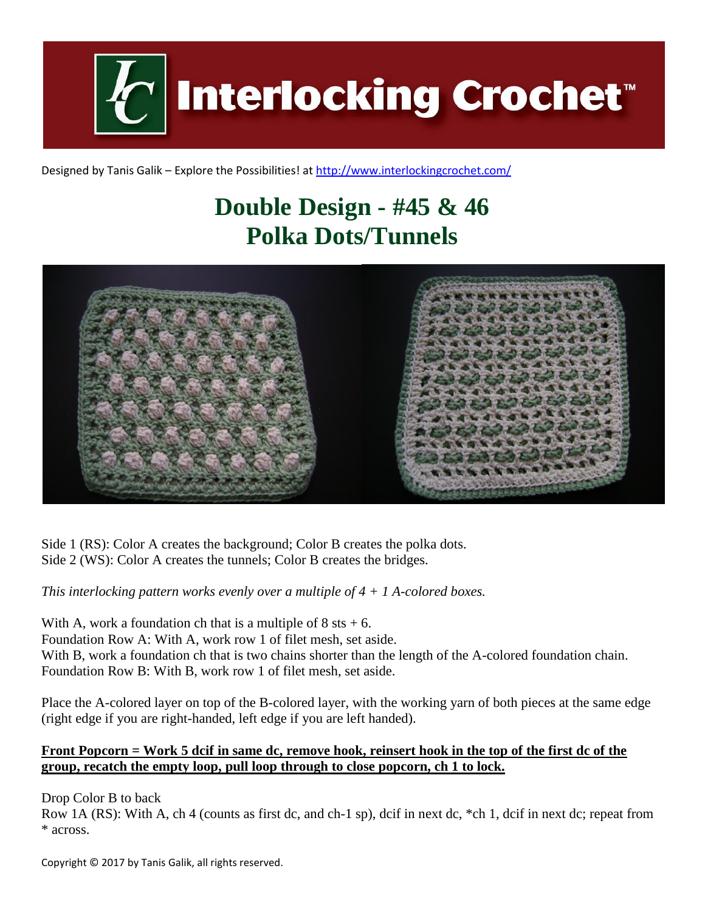**Interlocking Crochet** 

Designed by Tanis Galik – Explore the Possibilities! a[t http://www.interlockingcrochet.com/](http://www.interlockingcrochet.com/)

## **Double Design - #45 & 46 Polka Dots/Tunnels**



Side 1 (RS): Color A creates the background; Color B creates the polka dots. Side 2 (WS): Color A creates the tunnels; Color B creates the bridges.

*This interlocking pattern works evenly over a multiple of 4 + 1 A-colored boxes.*

With A, work a foundation ch that is a multiple of  $8$  sts  $+ 6$ . Foundation Row A: With A, work row 1 of filet mesh, set aside. With B, work a foundation ch that is two chains shorter than the length of the A-colored foundation chain. Foundation Row B: With B, work row 1 of filet mesh, set aside.

Place the A-colored layer on top of the B-colored layer, with the working yarn of both pieces at the same edge (right edge if you are right-handed, left edge if you are left handed).

## **Front Popcorn = Work 5 dcif in same dc, remove hook, reinsert hook in the top of the first dc of the group, recatch the empty loop, pull loop through to close popcorn, ch 1 to lock.**

Drop Color B to back

Row 1A (RS): With A, ch 4 (counts as first dc, and ch-1 sp), dcif in next dc, \*ch 1, dcif in next dc; repeat from \* across.

Copyright © 2017 by Tanis Galik, all rights reserved.